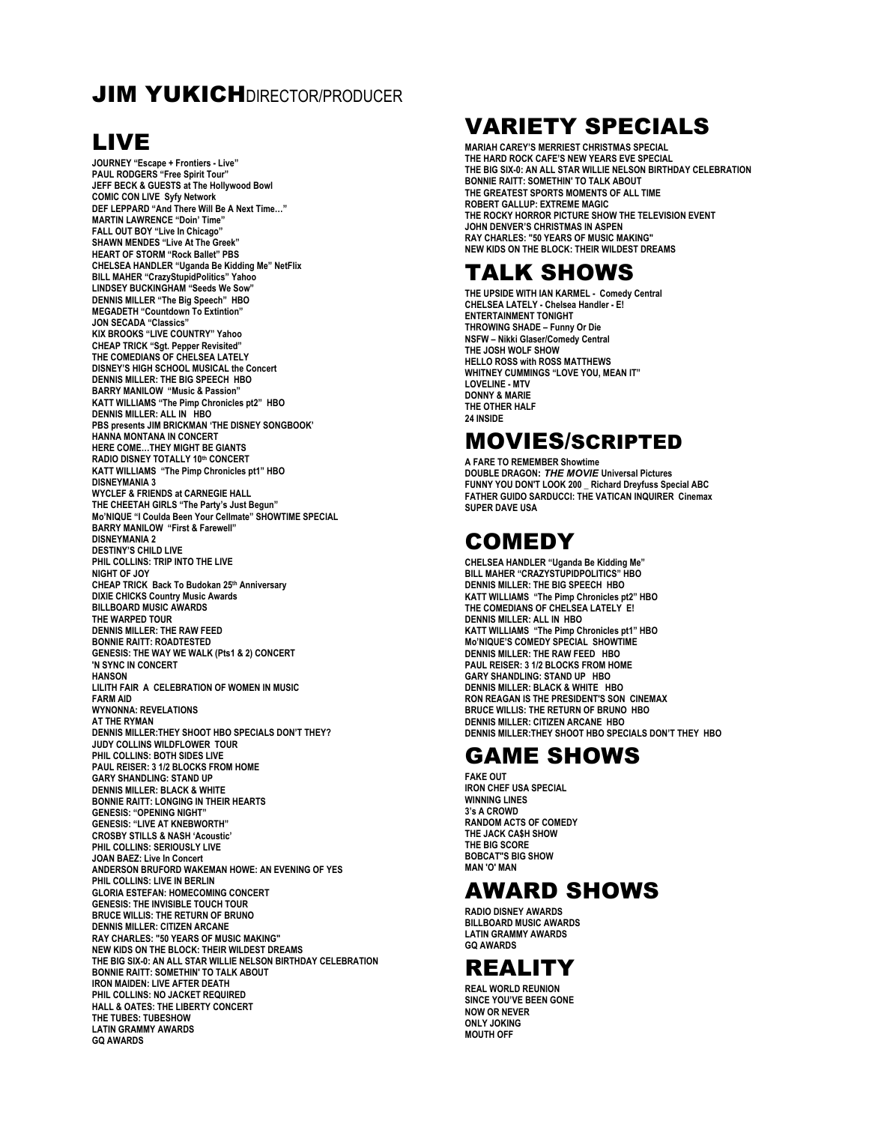#### **JIM YUKICHDIRECTOR/PRODUCER**

## LIVE

**JOURNEY "Escape + Frontiers - Live" PAUL RODGERS "Free Spirit Tour" JEFF BECK & GUESTS at The Hollywood Bowl COMIC CON LIVE Syfy Network DEF LEPPARD "And There Will Be A Next Time…" MARTIN LAWRENCE "Doin' Time" FALL OUT BOY "Live In Chicago" SHAWN MENDES "Live At The Greek" HEART OF STORM "Rock Ballet" PBS CHELSEA HANDLER "Uganda Be Kidding Me" NetFlix BILL MAHER "CrazyStupidPolitics" Yahoo LINDSEY BUCKINGHAM "Seeds We Sow" DENNIS MILLER "The Big Speech" HBO MEGADETH "Countdown To Extintion" JON SECADA "Classics" KIX BROOKS "LIVE COUNTRY" Yahoo CHEAP TRICK "Sgt. Pepper Revisited" THE COMEDIANS OF CHELSEA LATELY DISNEY'S HIGH SCHOOL MUSICAL the Concert DENNIS MILLER: THE BIG SPEECH HBO BARRY MANILOW "Music & Passion" KATT WILLIAMS "The Pimp Chronicles pt2" HBO DENNIS MILLER: ALL IN HBO PBS presents JIM BRICKMAN 'THE DISNEY SONGBOOK' HANNA MONTANA IN CONCERT HERE COME…THEY MIGHT BE GIANTS RADIO DISNEY TOTALLY 10th CONCERT KATT WILLIAMS "The Pimp Chronicles pt1" HBO DISNEYMANIA 3 WYCLEF & FRIENDS at CARNEGIE HALL THE CHEETAH GIRLS "The Party's Just Begun" Mo'NIQUE "I Coulda Been Your Cellmate" SHOWTIME SPECIAL BARRY MANILOW "First & Farewell" DISNEYMANIA 2 DESTINY'S CHILD LIVE PHIL COLLINS: TRIP INTO THE LIVE NIGHT OF JOY CHEAP TRICK Back To Budokan 25th Anniversary DIXIE CHICKS Country Music Awards BILLBOARD MUSIC AWARDS THE WARPED TOUR DENNIS MILLER: THE RAW FEED BONNIE RAITT: ROADTESTED GENESIS: THE WAY WE WALK (Pts1 & 2) CONCERT 'N SYNC IN CONCERT HANSON LILITH FAIR A CELEBRATION OF WOMEN IN MUSIC FARM AID WYNONNA: REVELATIONS AT THE RYMAN DENNIS MILLER:THEY SHOOT HBO SPECIALS DON'T THEY? JUDY COLLINS WILDFLOWER TOUR PHIL COLLINS: BOTH SIDES LIVE PAUL REISER: 3 1/2 BLOCKS FROM HOME GARY SHANDLING: STAND UP DENNIS MILLER: BLACK & WHITE BONNIE RAITT: LONGING IN THEIR HEARTS GENESIS: "OPENING NIGHT" GENESIS: "LIVE AT KNEBWORTH" CROSBY STILLS & NASH 'Acoustic' PHIL COLLINS: SERIOUSLY LIVE JOAN BAEZ: Live In Concert ANDERSON BRUFORD WAKEMAN HOWE: AN EVENING OF YES PHIL COLLINS: LIVE IN BERLIN GLORIA ESTEFAN: HOMECOMING CONCERT GENESIS: THE INVISIBLE TOUCH TOUR BRUCE WILLIS: THE RETURN OF BRUNO DENNIS MILLER: CITIZEN ARCANE RAY CHARLES: "50 YEARS OF MUSIC MAKING" NEW KIDS ON THE BLOCK: THEIR WILDEST DREAMS THE BIG SIX-0: AN ALL STAR WILLIE NELSON BIRTHDAY CELEBRATION BONNIE RAITT: SOMETHIN' TO TALK ABOUT IRON MAIDEN: LIVE AFTER DEATH PHIL COLLINS: NO JACKET REQUIRED HALL & OATES: THE LIBERTY CONCERT THE TUBES: TUBESHOW LATIN GRAMMY AWARDS GQ AWARDS**

## VARIETY SPECIALS

**MARIAH CAREY'S MERRIEST CHRISTMAS SPECIAL THE HARD ROCK CAFE'S NEW YEARS EVE SPECIAL THE BIG SIX-0: AN ALL STAR WILLIE NELSON BIRTHDAY CELEBRATION BONNIE RAITT: SOMETHIN' TO TALK ABOUT THE GREATEST SPORTS MOMENTS OF ALL TIME ROBERT GALLUP: EXTREME MAGIC THE ROCKY HORROR PICTURE SHOW THE TELEVISION EVENT JOHN DENVER'S CHRISTMAS IN ASPEN RAY CHARLES: "50 YEARS OF MUSIC MAKING" NEW KIDS ON THE BLOCK: THEIR WILDEST DREAMS**

### TALK SHOWS

**THE UPSIDE WITH IAN KARMEL - Comedy Central CHELSEA LATELY - Chelsea Handler - E! ENTERTAINMENT TONIGHT THROWING SHADE – Funny Or Die NSFW – Nikki Glaser/Comedy Central THE JOSH WOLF SHOW HELLO ROSS with ROSS MATTHEWS WHITNEY CUMMINGS "LOVE YOU, MEAN IT" LOVELINE - MTV DONNY & MARIE THE OTHER HALF 24 INSIDE**

#### MOVIES/SCRIPTED

**A FARE TO REMEMBER Showtime DOUBLE DRAGON:** *THE MOVIE* **Universal Pictures FUNNY YOU DON'T LOOK 200 \_ Richard Dreyfuss Special ABC FATHER GUIDO SARDUCCI: THE VATICAN INQUIRER Cinemax SUPER DAVE USA**

### **COMEDY**

**CHELSEA HANDLER "Uganda Be Kidding Me" BILL MAHER "CRAZYSTUPIDPOLITICS" HBO DENNIS MILLER: THE BIG SPEECH HBO KATT WILLIAMS "The Pimp Chronicles pt2" HBO THE COMEDIANS OF CHELSEA LATELY E! DENNIS MILLER: ALL IN HBO KATT WILLIAMS "The Pimp Chronicles pt1" HBO Mo'NIQUE'S COMEDY SPECIAL SHOWTIME DENNIS MILLER: THE RAW FEED HBO PAUL REISER: 3 1/2 BLOCKS FROM HOME GARY SHANDLING: STAND UP HBO DENNIS MILLER: BLACK & WHITE HBO RON REAGAN IS THE PRESIDENT'S SON CINEMAX BRUCE WILLIS: THE RETURN OF BRUNO HBO DENNIS MILLER: CITIZEN ARCANE HBO DENNIS MILLER:THEY SHOOT HBO SPECIALS DON'T THEY HBO**

## GAME SHOWS

**FAKE OUT IRON CHEF USA SPECIAL WINNING LINES 3's A CROWD RANDOM ACTS OF COMEDY THE JACK CA\$H SHOW THE BIG SCORE BOBCAT"S BIG SHOW MAN 'O' MAN**

## AWARD SHOWS

**RADIO DISNEY AWARDS BILLBOARD MUSIC AWARDS LATIN GRAMMY AWARDS GQ AWARDS**

# REALITY

**REAL WORLD REUNION SINCE YOU'VE BEEN GONE NOW OR NEVER ONLY JOKING MOUTH OFF**